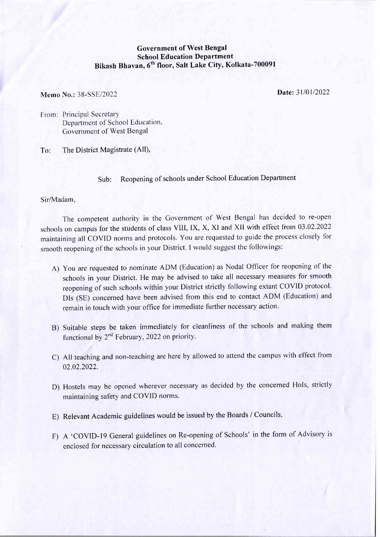## Government of West Bengal **School Education Department** Bikash Bhavan, 6<sup>th</sup> floor, Salt Lake City, Kolkata-700091

Memo No.: 38-SSE/2022

Date: 31/01/2022

From: Principal Secretary Department of School Education, Covernment of West Bengal

To: The District Magistrate (All),

## Sub: Reopening of schools under School Education Department

Sir/Madam,

The competent authority in the Covernment of West Bengal has decided to re-open schools on campus for the students of class VIII, IX, X, XI and XII with effect from 03.02.2022 maintaining all COVID norms and protocols. You are requested to guide the process closely fbr smooth reopening of the schools in your District. I would suggest the followings:

- A) You are requested to nominate ADM (Education) as Nodal Officer for reopening of the schools in your District. He may be advised to take all necessary measures for smooth reopening of such schools within your District strictly following extant COVID protocol. DIs (SE) concerned have been advised from this end to contact ADM (Education) and remain in touch with your office for immediate further necessary action.
- B) Suitable steps be taken immediately for cleanliness of the schools and making them functional by  $2^{nd}$  February, 2022 on priority.
- C) All teaching and non-teaching are here by allowed to attend the campus with effect fiom 02.02.2022.
- D) Hostels may be opened wherever necessary as decided by the concerned Hols, strictly maintaining safety and COVID norms.
- E) Relevant Academic guidelines would be issued by the Boards / Councils.
- F) A 'COVID-19 General guidelines on Re-opening of Schools' in the form of Advisory is enclosed for necessary circulation to all concerned.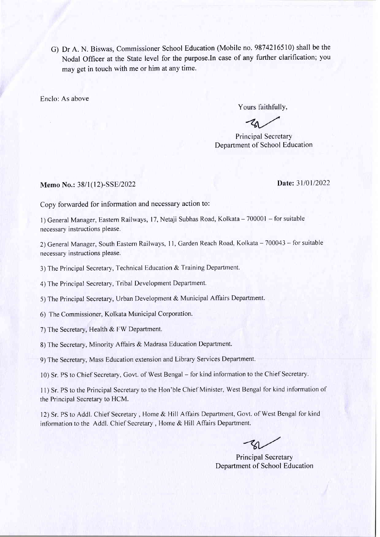G) Dr A. N. Biswas, Commissioner School Education (Mobile no.9874216510) shall be the Nodal Officer at the State level for the purpose.In case of any further clarification; you may get in touch with me or him at any time.

Enclo: As above

Yours faithfully,

Principal Secretary Department of School Education

Memo No.: 38/1(12)-SSE/2022 Date: 31/01/2022

Copy forwarded for information and necessary action to:

l) General Manager, Eastern Railways, 17, Netaji Subhas Road, Kolkata - 700001 - for suitable necessary instructions please.

2) General Manager, South Eastern Railways, 11, Garden Reach Road, Kolkata - 700043 - for suitable necessary instructions please.

3) The Principal Secretary, Technical Education & Training Department.

4) The Principal Secretary, Tribal Development Department.

5) The Principal Secretary, Urban Development & Municipal Affairs Department.

6) The Commissioner, Kolkata Municipal Corporation.

7) The Secretary, Health & FW Department.

8) The Secretary, Minority Affairs & Madrasa Education Department.

9) The Secretary, Mass Education extension and Library Services Department.

10) Sr. PS to Chief Secretary, Govt. of West Bengal - for kind information to the Chief Secretary.

11) Sr. PS to the Principal Secretary to the Hon'ble Chief Minister, West Bengal for kind information of the Principal Secretary to HCM.

12) Sr. PS to Addl. Chief Secretary, Home & Hill Affairs Department, Govt. of West Bengal for kind information to the Addl. Chief Secretary, Home & Hill Affairs Department.

Principal Secretary Department of School Education